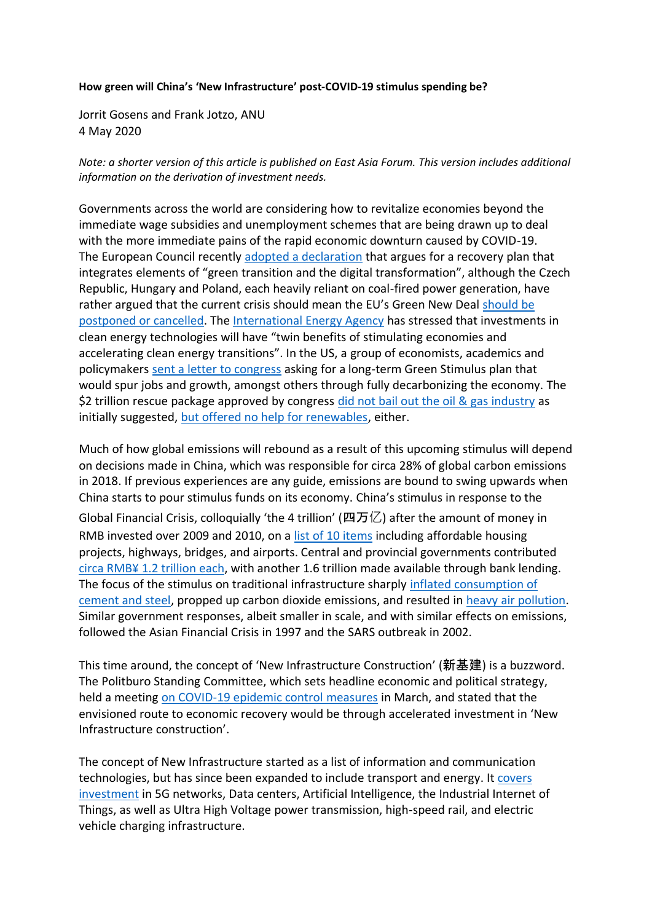## **How green will China's 'New Infrastructure' post-COVID-19 stimulus spending be?**

Jorrit Gosens and Frank Jotzo, ANU 4 May 2020

*Note: a shorter version of this article is published on East Asia Forum. This version includes additional information on the derivation of investment needs.*

Governments across the world are considering how to revitalize economies beyond the immediate wage subsidies and unemployment schemes that are being drawn up to deal with the more immediate pains of the rapid economic downturn caused by COVID-19. The European Council recently [adopted a declaration](https://www.euractiv.com/section/energy-environment/news/eu-leaders-back-green-transition-in-pandemic-recovery-plan/) that argues for a recovery plan that integrates elements of "green transition and the digital transformation", although the Czech Republic, Hungary and Poland, each heavily reliant on coal-fired power generation, have rather argued that the current crisis should mean the EU's Green New Deal should be [postponed or cancelled.](https://www.greentechmedia.com/articles/read/eu-green-deal-should-now-be-canceled-says-czech-pm) The [International Energy Agency](https://www.iea.org/commentaries/put-clean-energy-at-the-heart-of-stimulus-plans-to-counter-the-coronavirus-crisis) has stressed that investments in clean energy technologies will have "twin benefits of stimulating economies and accelerating clean energy transitions". In the US, a group of economists, academics and policymakers [sent a letter to congress](https://medium.com/@green_stimulus_now/a-green-stimulus-to-rebuild-our-economy-1e7030a1d9ee) asking for a long-term Green Stimulus plan that would spur jobs and growth, amongst others through fully decarbonizing the economy. The \$2 trillion rescue package approved by congress [did not bail out the oil & gas industry](https://www.foodandwaterwatch.org/news/coronavirus-stimulus-plan-bailing-out-oil-gas) as initially suggested, [but offered no help for renewables,](https://www.greentechmedia.com/articles/read/clean-energy-assistance-wont-be-part-of-massive-coronavirus-stimulus-bill) either.

Much of how global emissions will rebound as a result of this upcoming stimulus will depend on decisions made in China, which was responsible for circa 28% of global carbon emissions in 2018. If previous experiences are any guide, emissions are bound to swing upwards when China starts to pour stimulus funds on its economy. China's stimulus in response to the Global Financial Crisis, colloquially 'the 4 trillion' (四万亿) after the amount of money in RMB invested over 2009 and 2010, on a [list of 10 items](http://www.gov.cn/jrzg/2008-11/10/content_1143831.htm) including affordable housing projects, highways, bridges, and airports. Central and provincial governments contributed circa RMB¥ [1.2 trillion each,](http://siteresources.worldbank.org/INTSDNET/Resources/5944695-1247775731647/INFRA_China_Newsletter.pdf) with another 1.6 trillion made available through bank lending. The focus of the stimulus on traditional infrastructure sharply [inflated consumption of](https://www.thepaper.cn/newsDetail_forward_6532958)  [cement and steel,](https://www.thepaper.cn/newsDetail_forward_6532958) propped up carbon dioxide emissions, and resulted in [heavy air pollution.](https://www.ft.com/content/46cbaeea-c669-11e6-8f29-9445cac8966f) Similar government responses, albeit smaller in scale, and with similar effects on emissions, followed the Asian Financial Crisis in 1997 and the SARS outbreak in 2002.

This time around, the concept of 'New Infrastructure Construction' (新基建) is a buzzword. The Politburo Standing Committee, which sets headline economic and political strategy, held a meeting on COVID-19 [epidemic control measures](http://www.gov.cn/xinwen/2020-03/04/content_5486931.htm) in March, and stated that the envisioned route to economic recovery would be through accelerated investment in 'New Infrastructure construction'.

The concept of New Infrastructure started as a list of information and communication technologies, but has since been expanded to include transport and energy. It [covers](http://www.miitthinktank.org.cn/aatta/20200324225821366/1-2003231F017.pdf)  [investment](http://www.miitthinktank.org.cn/aatta/20200324225821366/1-2003231F017.pdf) in 5G networks, Data centers, Artificial Intelligence, the Industrial Internet of Things, as well as Ultra High Voltage power transmission, high-speed rail, and electric vehicle charging infrastructure.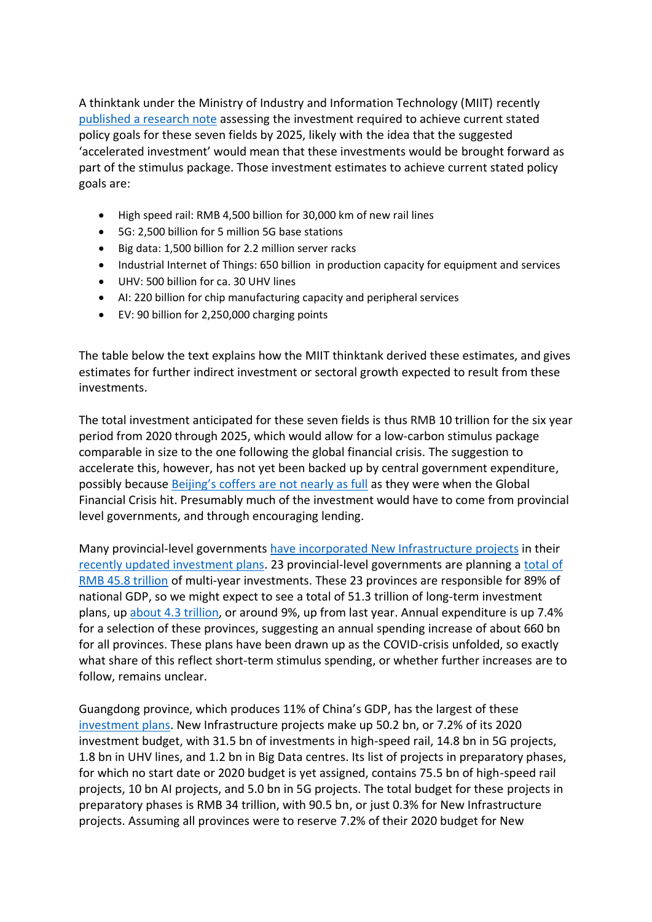A thinktank under the Ministry of Industry and Information Technology (MIIT) recently [published a research note](https://chinaenergyportal.org/en/white-paper-on-the-development-of-new-infrastructure-construction/) assessing the investment required to achieve current stated policy goals for these seven fields by 2025, likely with the idea that the suggested 'accelerated investment' would mean that these investments would be brought forward as part of the stimulus package. Those investment estimates to achieve current stated policy goals are:

- High speed rail: RMB 4,500 billion for 30,000 km of new rail lines
- 5G: 2,500 billion for 5 million 5G base stations
- Big data: 1,500 billion for 2.2 million server racks
- Industrial Internet of Things: 650 billion in production capacity for equipment and services
- UHV: 500 billion for ca. 30 UHV lines
- AI: 220 billion for chip manufacturing capacity and peripheral services
- EV: 90 billion for 2,250,000 charging points

The table below the text explains how the MIIT thinktank derived these estimates, and gives estimates for further indirect investment or sectoral growth expected to result from these investments.

The total investment anticipated for these seven fields is thus RMB 10 trillion for the six year period from 2020 through 2025, which would allow for a low-carbon stimulus package comparable in size to the one following the global financial crisis. The suggestion to accelerate this, however, has not yet been backed up by central government expenditure, possibly because [Beijing's coffers are not nearly as full](https://www.china-briefing.com/news/chinas-stimulus-measures-after-covid-19-different-from-2008-financial-crisis/) as they were when the Global Financial Crisis hit. Presumably much of the investment would have to come from provincial level governments, and through encouraging lending.

Many provincial-level governments have incorporated [New Infrastructure projects](http://www.gov.cn/xinwen/2020-03/07/content_5488333.htm) in their [recently updated investment plans.](http://en.people.cn/n3/2020/0312/c98649-9667696.html) 23 provincial-level governments are planning a [total of](https://www.thepaper.cn/newsDetail_forward_6344638)  [RMB 45.8 trillion](https://www.thepaper.cn/newsDetail_forward_6344638) of multi-year investments. These 23 provinces are responsible for 89% of national GDP, so we might expect to see a total of 51.3 trillion of long-term investment plans, up about [4.3 trillion,](https://money.163.com/20/0309/09/F794A42M00259DLP.html) or around 9%, up from last year. Annual expenditure is up 7.4% for a selection of these provinces, suggesting an annual spending increase of about 660 bn for all provinces. These plans have been drawn up as the COVID-crisis unfolded, so exactly what share of this reflect short-term stimulus spending, or whether further increases are to follow, remains unclear.

Guangdong province, which produces 11% of China's GDP, has the largest of these [investment plans.](http://drc.gd.gov.cn/ywtz/content/post_2915278.html) New Infrastructure projects make up 50.2 bn, or 7.2% of its 2020 investment budget, with 31.5 bn of investments in high-speed rail, 14.8 bn in 5G projects, 1.8 bn in UHV lines, and 1.2 bn in Big Data centres. Its list of projects in preparatory phases, for which no start date or 2020 budget is yet assigned, contains 75.5 bn of high-speed rail projects, 10 bn AI projects, and 5.0 bn in 5G projects. The total budget for these projects in preparatory phases is RMB 34 trillion, with 90.5 bn, or just 0.3% for New Infrastructure projects. Assuming all provinces were to reserve 7.2% of their 2020 budget for New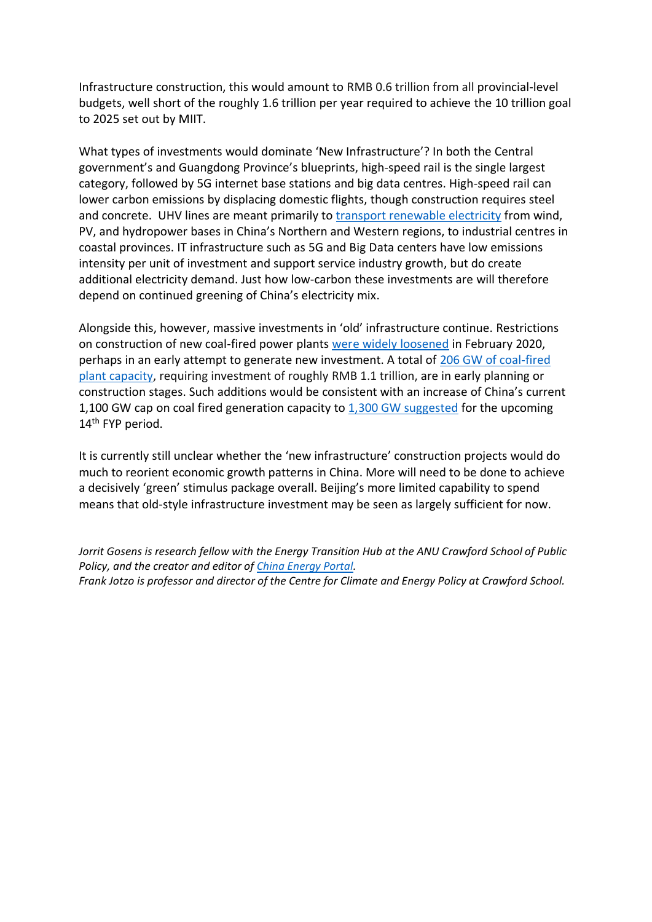Infrastructure construction, this would amount to RMB 0.6 trillion from all provincial-level budgets, well short of the roughly 1.6 trillion per year required to achieve the 10 trillion goal to 2025 set out by MIIT.

What types of investments would dominate 'New Infrastructure'? In both the Central government's and Guangdong Province's blueprints, high-speed rail is the single largest category, followed by 5G internet base stations and big data centres. High-speed rail can lower carbon emissions by displacing domestic flights, though construction requires steel and concrete. UHV lines are meant primarily to [transport renewable electricity](http://www.xinhuanet.com/english/2019-09/11/c_138382743.htm) from wind, PV, and hydropower bases in China's Northern and Western regions, to industrial centres in coastal provinces. IT infrastructure such as 5G and Big Data centers have low emissions intensity per unit of investment and support service industry growth, but do create additional electricity demand. Just how low-carbon these investments are will therefore depend on continued greening of China's electricity mix.

Alongside this, however, massive investments in 'old' infrastructure continue. Restrictions on construction of new coal-fired power plants [were widely loosened](https://chinaenergyportal.org/en/circular-on-2023-risk-and-early-warning-for-coal-power-planning-and-construction/) in February 2020, perhaps in an early attempt to generate new investment. A total of 206 GW of coal-fired [plant](https://carbontracker.org/reports/how-to-waste-over-half-a-trillion-dollars/) capacity, requiring investment of roughly RMB 1.1 trillion, are in early planning or construction stages. Such additions would be consistent with an increase of China's current 1,100 GW cap on coal fired generation capacity to [1,300 GW suggested](https://unearthed.greenpeace.org/2019/03/28/china-new-coal-plants-2030-climate/) for the upcoming 14<sup>th</sup> FYP period.

It is currently still unclear whether the 'new infrastructure' construction projects would do much to reorient economic growth patterns in China. More will need to be done to achieve a decisively 'green' stimulus package overall. Beijing's more limited capability to spend means that old-style infrastructure investment may be seen as largely sufficient for now.

*Jorrit Gosens is research fellow with the Energy Transition Hub at the ANU Crawford School of Public Policy, and the creator and editor o[f China Energy Portal.](https://chinaenergyportal.org/en/) Frank Jotzo is professor and director of the Centre for Climate and Energy Policy at Crawford School.*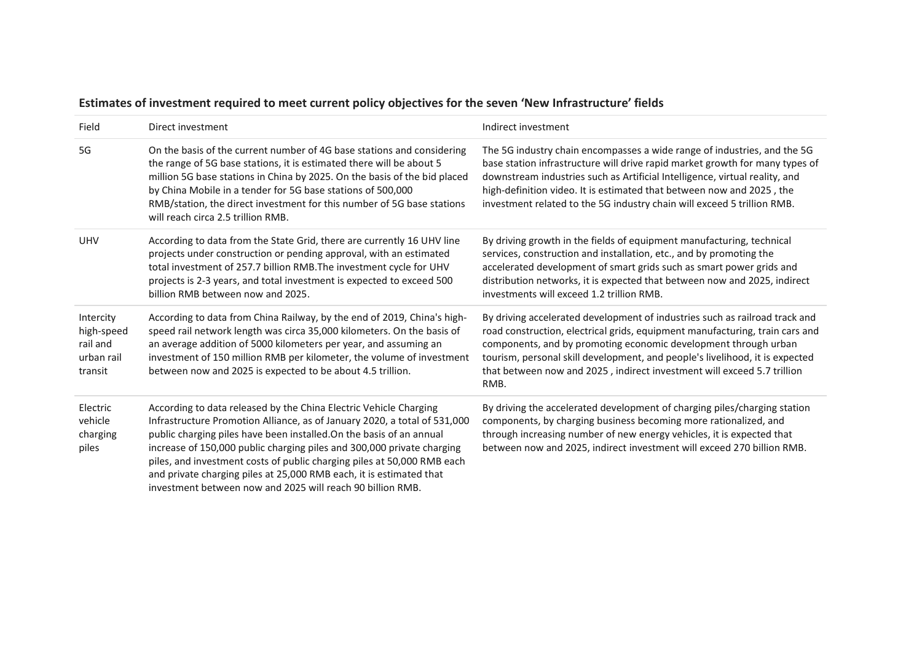| Field                                                        | Direct investment                                                                                                                                                                                                                                                                                                                                                                                                                                                                                                | Indirect investment                                                                                                                                                                                                                                                                                                                                                                               |
|--------------------------------------------------------------|------------------------------------------------------------------------------------------------------------------------------------------------------------------------------------------------------------------------------------------------------------------------------------------------------------------------------------------------------------------------------------------------------------------------------------------------------------------------------------------------------------------|---------------------------------------------------------------------------------------------------------------------------------------------------------------------------------------------------------------------------------------------------------------------------------------------------------------------------------------------------------------------------------------------------|
| 5G                                                           | On the basis of the current number of 4G base stations and considering<br>the range of 5G base stations, it is estimated there will be about 5<br>million 5G base stations in China by 2025. On the basis of the bid placed<br>by China Mobile in a tender for 5G base stations of 500,000<br>RMB/station, the direct investment for this number of 5G base stations<br>will reach circa 2.5 trillion RMB.                                                                                                       | The 5G industry chain encompasses a wide range of industries, and the 5G<br>base station infrastructure will drive rapid market growth for many types of<br>downstream industries such as Artificial Intelligence, virtual reality, and<br>high-definition video. It is estimated that between now and 2025, the<br>investment related to the 5G industry chain will exceed 5 trillion RMB.       |
| <b>UHV</b>                                                   | According to data from the State Grid, there are currently 16 UHV line<br>projects under construction or pending approval, with an estimated<br>total investment of 257.7 billion RMB. The investment cycle for UHV<br>projects is 2-3 years, and total investment is expected to exceed 500<br>billion RMB between now and 2025.                                                                                                                                                                                | By driving growth in the fields of equipment manufacturing, technical<br>services, construction and installation, etc., and by promoting the<br>accelerated development of smart grids such as smart power grids and<br>distribution networks, it is expected that between now and 2025, indirect<br>investments will exceed 1.2 trillion RMB.                                                    |
| Intercity<br>high-speed<br>rail and<br>urban rail<br>transit | According to data from China Railway, by the end of 2019, China's high-<br>speed rail network length was circa 35,000 kilometers. On the basis of<br>an average addition of 5000 kilometers per year, and assuming an<br>investment of 150 million RMB per kilometer, the volume of investment<br>between now and 2025 is expected to be about 4.5 trillion.                                                                                                                                                     | By driving accelerated development of industries such as railroad track and<br>road construction, electrical grids, equipment manufacturing, train cars and<br>components, and by promoting economic development through urban<br>tourism, personal skill development, and people's livelihood, it is expected<br>that between now and 2025, indirect investment will exceed 5.7 trillion<br>RMB. |
| Electric<br>vehicle<br>charging<br>piles                     | According to data released by the China Electric Vehicle Charging<br>Infrastructure Promotion Alliance, as of January 2020, a total of 531,000<br>public charging piles have been installed. On the basis of an annual<br>increase of 150,000 public charging piles and 300,000 private charging<br>piles, and investment costs of public charging piles at 50,000 RMB each<br>and private charging piles at 25,000 RMB each, it is estimated that<br>investment between now and 2025 will reach 90 billion RMB. | By driving the accelerated development of charging piles/charging station<br>components, by charging business becoming more rationalized, and<br>through increasing number of new energy vehicles, it is expected that<br>between now and 2025, indirect investment will exceed 270 billion RMB.                                                                                                  |

## **Estimates of investment required to meet current policy objectives for the seven 'New Infrastructure' fields**